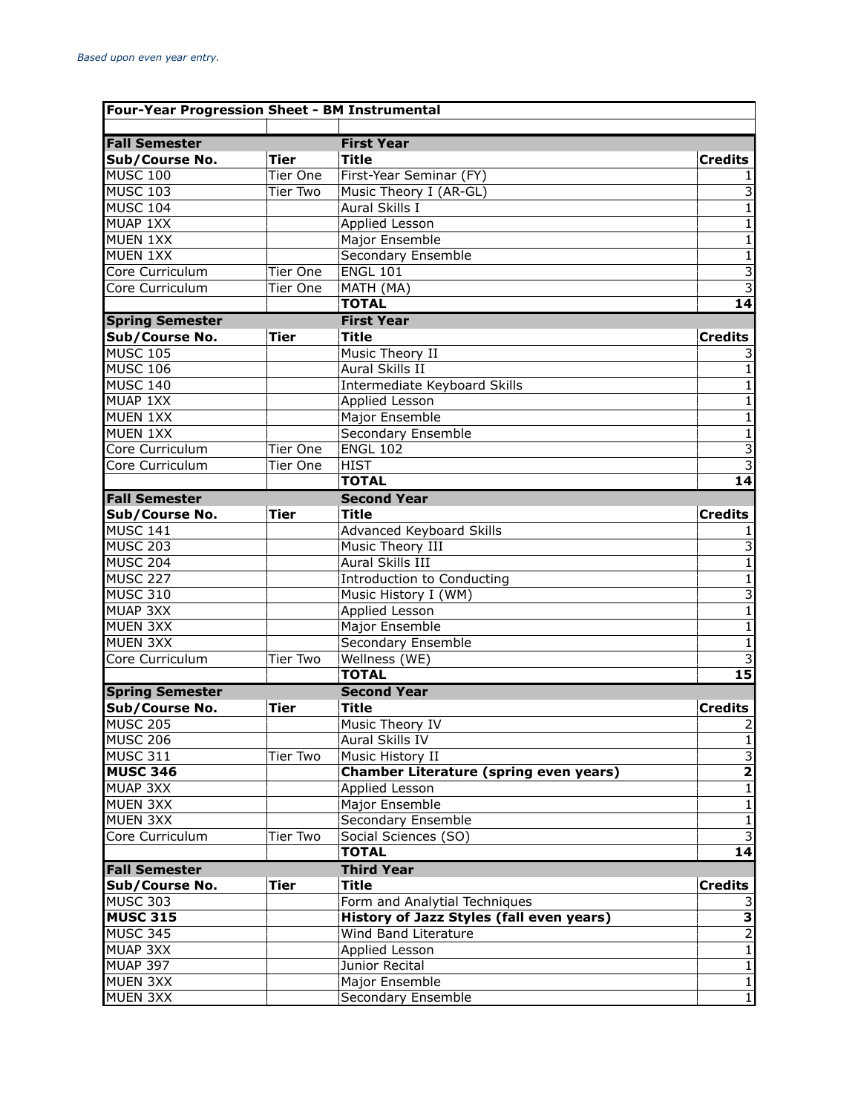